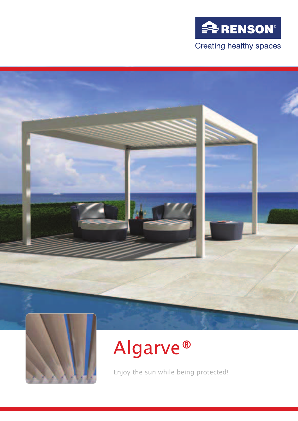





## Algarve®

Enjoy the sun while being protected!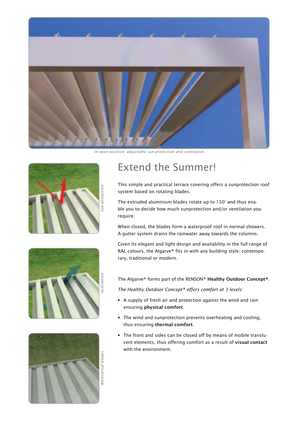

*In open position: adjustable sun protection and ventilation*



## Extend the Summer!

This simple and practical terrace covering offers a sunprotection roof system based on rotating blades.

The extruded aluminium blades rotate up to 150° and thus enable you to decide how much sunprotection and/or ventilation you require.

When closed, the blades form a waterproof roof in normal showers. A gutter system drains the rainwater away towards the columns.

Given its elegant and light design and availability in the full range of RAL colours, the Algarve® fits in with any building style: contemporary, traditional or modern.

The Algarve® forms part of the RENSON® Healthy Outdoor Concept®.

*The Healthy Outdoor Concept® offers comfort at 3 levels:*

- A supply of fresh air and protection against the wind and rain ensuring physical comfort.
- The wind and sunprotection prevents overheating and cooling, thus ensuring thermal comfort.
- The front and sides can be closed off by means of mobile translucent elements, thus offering comfort as a result of visual contact with the environment.



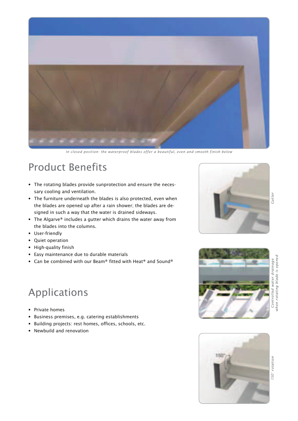

*In closed position: the waterproof blades offer a beautiful, even and smooth finish below*

## Product Benefits

- The rotating blades provide sunprotection and ensure the necessary cooling and ventilation.
- The furniture underneath the blades is also protected, even when the blades are opened up after a rain shower; the blades are designed in such a way that the water is drained sideways.
- The Algarve® includes a gutter which drains the water away from the blades into the columns.
- User-friendly
- Quiet operation
- High-quality finish
- Easy maintenance due to durable materials
- Can be combined with our Beam® fitted with Heat® and Sound®



- Private homes
- Business premises, e.g. catering establishments
- Building projects: rest homes, offices, schools, etc.
- Newbuild and renovation